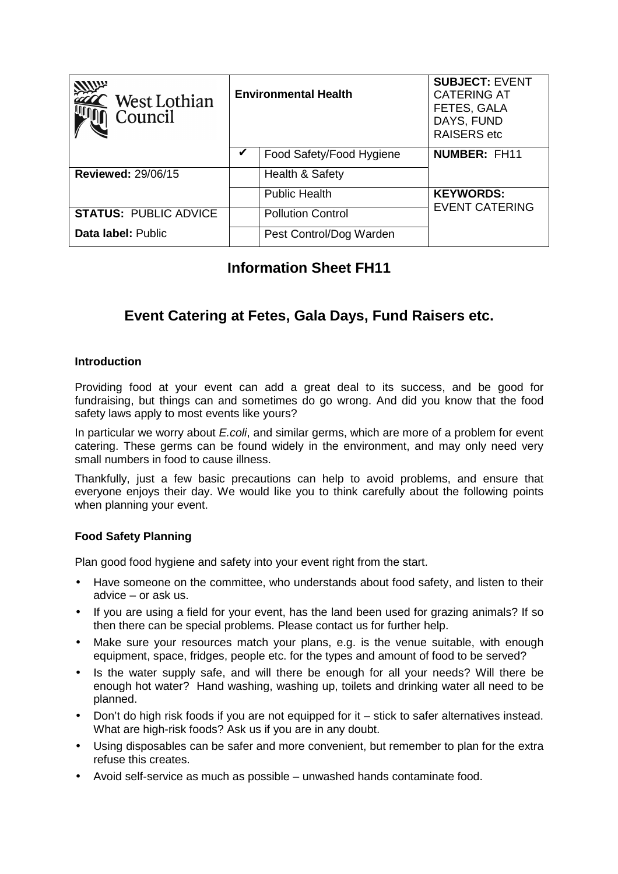| West Lothian<br>Council      | <b>Environmental Health</b> |                          | <b>SUBJECT: EVENT</b><br><b>CATERING AT</b><br>FETES, GALA<br>DAYS, FUND<br><b>RAISERS</b> etc |
|------------------------------|-----------------------------|--------------------------|------------------------------------------------------------------------------------------------|
|                              | V                           | Food Safety/Food Hygiene | <b>NUMBER: FH11</b>                                                                            |
| <b>Reviewed: 29/06/15</b>    |                             | Health & Safety          |                                                                                                |
|                              |                             | <b>Public Health</b>     | <b>KEYWORDS:</b>                                                                               |
| <b>STATUS: PUBLIC ADVICE</b> |                             | <b>Pollution Control</b> | <b>EVENT CATERING</b>                                                                          |
| Data label: Public           |                             | Pest Control/Dog Warden  |                                                                                                |

# **Information Sheet FH11**

# **Event Catering at Fetes, Gala Days, Fund Raisers etc.**

## **Introduction**

Providing food at your event can add a great deal to its success, and be good for fundraising, but things can and sometimes do go wrong. And did you know that the food safety laws apply to most events like yours?

In particular we worry about *E.coli*, and similar germs, which are more of a problem for event catering. These germs can be found widely in the environment, and may only need very small numbers in food to cause illness.

Thankfully, just a few basic precautions can help to avoid problems, and ensure that everyone enjoys their day. We would like you to think carefully about the following points when planning your event.

### **Food Safety Planning**

Plan good food hygiene and safety into your event right from the start.

- Have someone on the committee, who understands about food safety, and listen to their advice – or ask us.
- If you are using a field for your event, has the land been used for grazing animals? If so then there can be special problems. Please contact us for further help.
- Make sure your resources match your plans, e.g. is the venue suitable, with enough equipment, space, fridges, people etc. for the types and amount of food to be served?
- Is the water supply safe, and will there be enough for all your needs? Will there be enough hot water? Hand washing, washing up, toilets and drinking water all need to be planned.
- Don't do high risk foods if you are not equipped for it stick to safer alternatives instead. What are high-risk foods? Ask us if you are in any doubt.
- Using disposables can be safer and more convenient, but remember to plan for the extra refuse this creates.
- Avoid self-service as much as possible unwashed hands contaminate food.